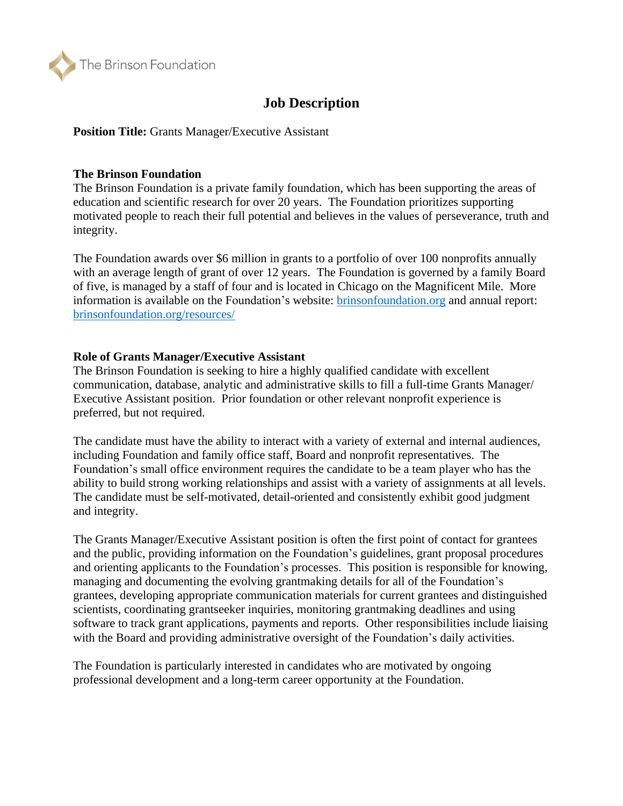

# **Job Description**

**Position Title:** Grants Manager/Executive Assistant

### **The Brinson Foundation**

The Brinson Foundation is a private family foundation, which has been supporting the areas of education and scientific research for over 20 years. The Foundation prioritizes supporting motivated people to reach their full potential and believes in the values of perseverance, truth and integrity.

The Foundation awards over \$6 million in grants to a portfolio of over 100 nonprofits annually with an average length of grant of over 12 years. The Foundation is governed by a family Board of five, is managed by a staff of four and is located in Chicago on the Magnificent Mile. More information is available on the Foundation's website: [brinsonfoundation.org](http://www.brinsonfoundation.org/) and annual report: [brinsonfoundation.org/resources/](http://www.brinsonfoundation.org/resources/)

#### **Role of Grants Manager/Executive Assistant**

The Brinson Foundation is seeking to hire a highly qualified candidate with excellent communication, database, analytic and administrative skills to fill a full-time Grants Manager/ Executive Assistant position. Prior foundation or other relevant nonprofit experience is preferred, but not required.

The candidate must have the ability to interact with a variety of external and internal audiences, including Foundation and family office staff, Board and nonprofit representatives. The Foundation's small office environment requires the candidate to be a team player who has the ability to build strong working relationships and assist with a variety of assignments at all levels. The candidate must be self-motivated, detail-oriented and consistently exhibit good judgment and integrity.

The Grants Manager/Executive Assistant position is often the first point of contact for grantees and the public, providing information on the Foundation's guidelines, grant proposal procedures and orienting applicants to the Foundation's processes. This position is responsible for knowing, managing and documenting the evolving grantmaking details for all of the Foundation's grantees, developing appropriate communication materials for current grantees and distinguished scientists, coordinating grantseeker inquiries, monitoring grantmaking deadlines and using software to track grant applications, payments and reports. Other responsibilities include liaising with the Board and providing administrative oversight of the Foundation's daily activities.

The Foundation is particularly interested in candidates who are motivated by ongoing professional development and a long-term career opportunity at the Foundation.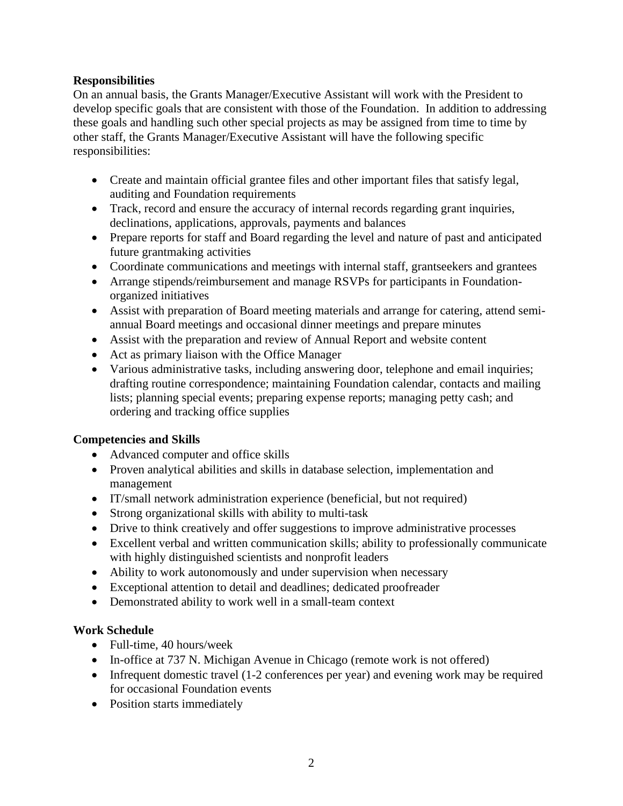## **Responsibilities**

On an annual basis, the Grants Manager/Executive Assistant will work with the President to develop specific goals that are consistent with those of the Foundation. In addition to addressing these goals and handling such other special projects as may be assigned from time to time by other staff, the Grants Manager/Executive Assistant will have the following specific responsibilities:

- Create and maintain official grantee files and other important files that satisfy legal, auditing and Foundation requirements
- Track, record and ensure the accuracy of internal records regarding grant inquiries, declinations, applications, approvals, payments and balances
- Prepare reports for staff and Board regarding the level and nature of past and anticipated future grantmaking activities
- Coordinate communications and meetings with internal staff, grantseekers and grantees
- Arrange stipends/reimbursement and manage RSVPs for participants in Foundationorganized initiatives
- Assist with preparation of Board meeting materials and arrange for catering, attend semiannual Board meetings and occasional dinner meetings and prepare minutes
- Assist with the preparation and review of Annual Report and website content
- Act as primary liaison with the Office Manager
- Various administrative tasks, including answering door, telephone and email inquiries; drafting routine correspondence; maintaining Foundation calendar, contacts and mailing lists; planning special events; preparing expense reports; managing petty cash; and ordering and tracking office supplies

## **Competencies and Skills**

- Advanced computer and office skills
- Proven analytical abilities and skills in database selection, implementation and management
- IT/small network administration experience (beneficial, but not required)
- Strong organizational skills with ability to multi-task
- Drive to think creatively and offer suggestions to improve administrative processes
- Excellent verbal and written communication skills; ability to professionally communicate with highly distinguished scientists and nonprofit leaders
- Ability to work autonomously and under supervision when necessary
- Exceptional attention to detail and deadlines; dedicated proofreader
- Demonstrated ability to work well in a small-team context

## **Work Schedule**

- Full-time, 40 hours/week
- In-office at 737 N. Michigan Avenue in Chicago (remote work is not offered)
- Infrequent domestic travel (1-2 conferences per year) and evening work may be required for occasional Foundation events
- Position starts immediately